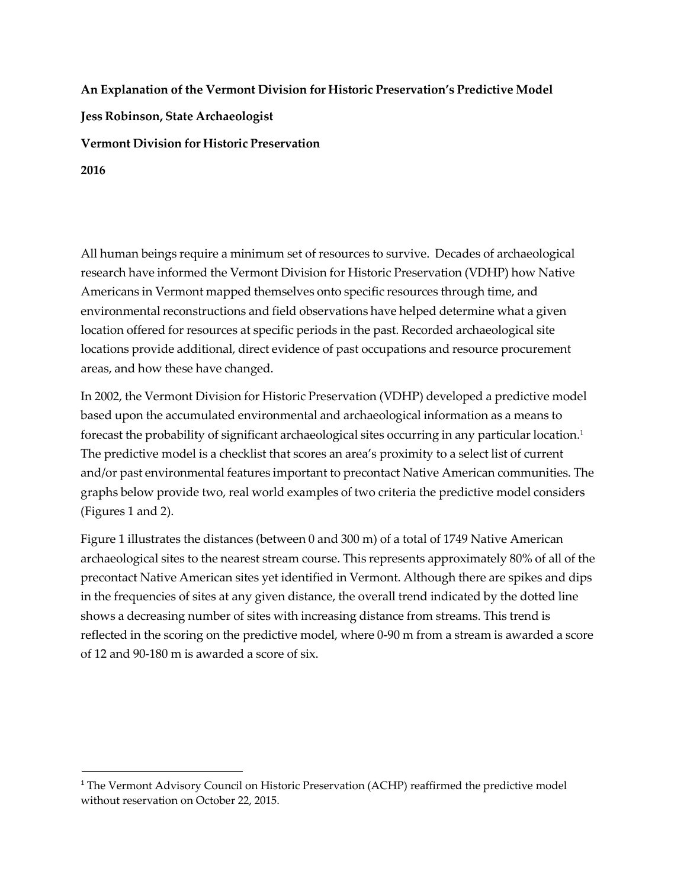**An Explanation of the Vermont Division for Historic Preservation's Predictive Model Jess Robinson, State Archaeologist Vermont Division for Historic Preservation 2016**

All human beings require a minimum set of resources to survive. Decades of archaeological research have informed the Vermont Division for Historic Preservation (VDHP) how Native Americans in Vermont mapped themselves onto specific resources through time, and environmental reconstructions and field observations have helped determine what a given location offered for resources at specific periods in the past. Recorded archaeological site locations provide additional, direct evidence of past occupations and resource procurement areas, and how these have changed.

In 2002, the Vermont Division for Historic Preservation (VDHP) developed a predictive model based upon the accumulated environmental and archaeological information as a means to forecast the probability of significant archaeological sites occurring in any particular location[.1](#page-0-0) The predictive model is a checklist that scores an area's proximity to a select list of current and/or past environmental features important to precontact Native American communities. The graphs below provide two, real world examples of two criteria the predictive model considers (Figures 1 and 2).

Figure 1 illustrates the distances (between 0 and 300 m) of a total of 1749 Native American archaeological sites to the nearest stream course. This represents approximately 80% of all of the precontact Native American sites yet identified in Vermont. Although there are spikes and dips in the frequencies of sites at any given distance, the overall trend indicated by the dotted line shows a decreasing number of sites with increasing distance from streams. This trend is reflected in the scoring on the predictive model, where 0-90 m from a stream is awarded a score of 12 and 90-180 m is awarded a score of six.

<span id="page-0-0"></span><sup>&</sup>lt;sup>1</sup> The Vermont Advisory Council on Historic Preservation (ACHP) reaffirmed the predictive model without reservation on October 22, 2015.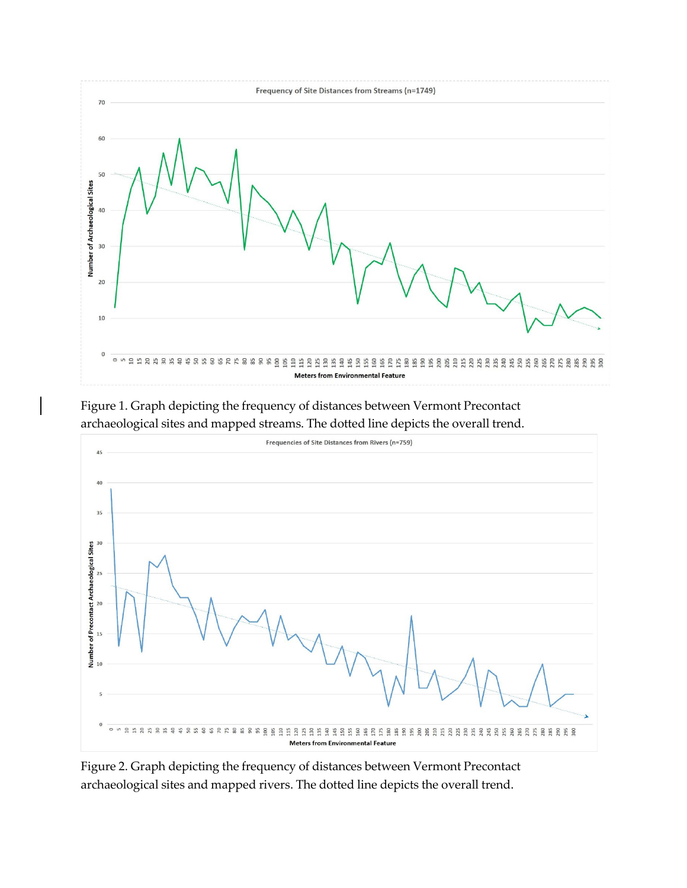

Figure 1. Graph depicting the frequency of distances between Vermont Precontact archaeological sites and mapped streams. The dotted line depicts the overall trend.



Figure 2. Graph depicting the frequency of distances between Vermont Precontact archaeological sites and mapped rivers. The dotted line depicts the overall trend.